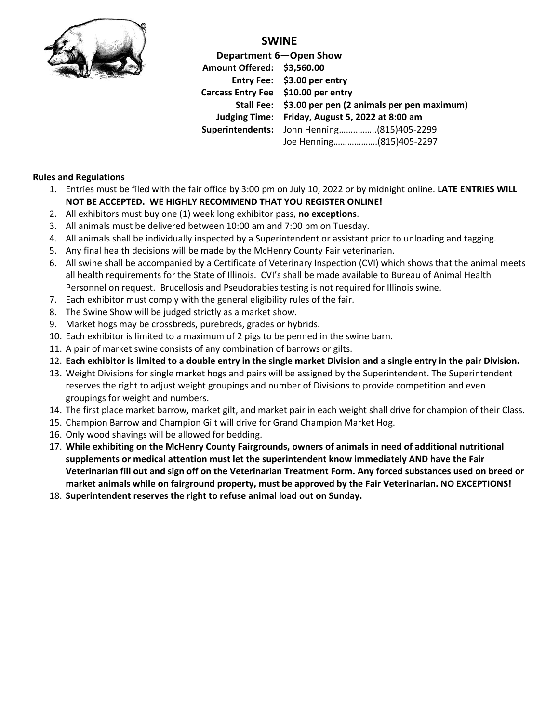

### **SWINE**

**Department 6—Open Show Amount Offered: \$3,560.00 Entry Fee: \$3.00 per entry Carcass Entry Fee \$10.00 per entry Stall Fee: \$3.00 per pen (2 animals per pen maximum) Judging Time: Friday, August 5, 2022 at 8:00 am Superintendents:** John Henning……..……..(815)405-2299 Joe Henning……………….(815)405-2297

#### **Rules and Regulations**

- 1. Entries must be filed with the fair office by 3:00 pm on July 10, 2022 or by midnight online. **LATE ENTRIES WILL NOT BE ACCEPTED. WE HIGHLY RECOMMEND THAT YOU REGISTER ONLINE!**
- 2. All exhibitors must buy one (1) week long exhibitor pass, **no exceptions**.
- 3. All animals must be delivered between 10:00 am and 7:00 pm on Tuesday.
- 4. All animals shall be individually inspected by a Superintendent or assistant prior to unloading and tagging.
- 5. Any final health decisions will be made by the McHenry County Fair veterinarian.
- 6. All swine shall be accompanied by a Certificate of Veterinary Inspection (CVI) which shows that the animal meets all health requirements for the State of Illinois. CVI's shall be made available to Bureau of Animal Health Personnel on request. Brucellosis and Pseudorabies testing is not required for Illinois swine.
- 7. Each exhibitor must comply with the general eligibility rules of the fair.
- 8. The Swine Show will be judged strictly as a market show.
- 9. Market hogs may be crossbreds, purebreds, grades or hybrids.
- 10. Each exhibitor is limited to a maximum of 2 pigs to be penned in the swine barn.
- 11. A pair of market swine consists of any combination of barrows or gilts.
- 12. **Each exhibitor is limited to a double entry in the single market Division and a single entry in the pair Division.**
- 13. Weight Divisions for single market hogs and pairs will be assigned by the Superintendent. The Superintendent reserves the right to adjust weight groupings and number of Divisions to provide competition and even groupings for weight and numbers.
- 14. The first place market barrow, market gilt, and market pair in each weight shall drive for champion of their Class.
- 15. Champion Barrow and Champion Gilt will drive for Grand Champion Market Hog.
- 16. Only wood shavings will be allowed for bedding.
- 17. **While exhibiting on the McHenry County Fairgrounds, owners of animals in need of additional nutritional supplements or medical attention must let the superintendent know immediately AND have the Fair Veterinarian fill out and sign off on the Veterinarian Treatment Form. Any forced substances used on breed or market animals while on fairground property, must be approved by the Fair Veterinarian. NO EXCEPTIONS!**
- 18. **Superintendent reserves the right to refuse animal load out on Sunday.**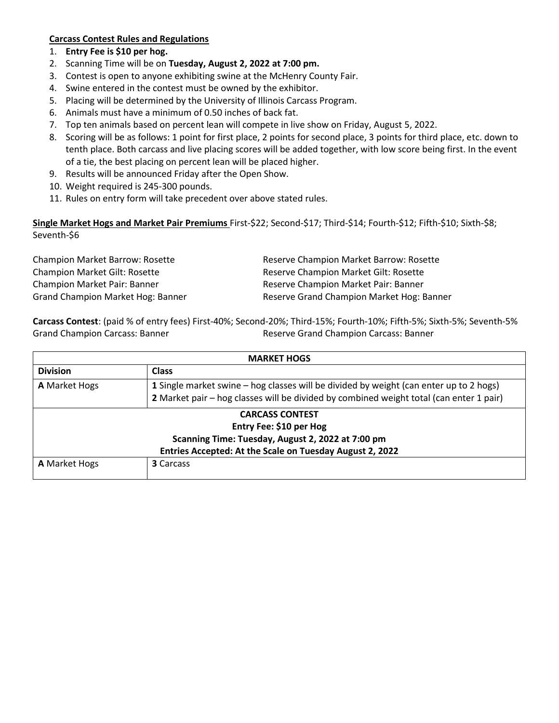#### **Carcass Contest Rules and Regulations**

- 1. **Entry Fee is \$10 per hog.**
- 2. Scanning Time will be on **Tuesday, August 2, 2022 at 7:00 pm.**
- 3. Contest is open to anyone exhibiting swine at the McHenry County Fair.
- 4. Swine entered in the contest must be owned by the exhibitor.
- 5. Placing will be determined by the University of Illinois Carcass Program.
- 6. Animals must have a minimum of 0.50 inches of back fat.
- 7. Top ten animals based on percent lean will compete in live show on Friday, August 5, 2022.
- 8. Scoring will be as follows: 1 point for first place, 2 points for second place, 3 points for third place, etc. down to tenth place. Both carcass and live placing scores will be added together, with low score being first. In the event of a tie, the best placing on percent lean will be placed higher.
- 9. Results will be announced Friday after the Open Show.
- 10. Weight required is 245-300 pounds.
- 11. Rules on entry form will take precedent over above stated rules.

**Single Market Hogs and Market Pair Premiums** First-\$22; Second-\$17; Third-\$14; Fourth-\$12; Fifth-\$10; Sixth-\$8; Seventh-\$6

Champion Market Barrow: Rosette **Reserve Champion Market Barrow: Rosette** Reserve Champion Market Barrow: Rosette Champion Market Gilt: Rosette Reserve Champion Market Gilt: Rosette Champion Market Pair: Banner **Reserve Champion Market Pair: Banner** Reserve Champion Market Pair: Banner Grand Champion Market Hog: Banner Reserve Grand Champion Market Hog: Banner

**Carcass Contest**: (paid % of entry fees) First-40%; Second-20%; Third-15%; Fourth-10%; Fifth-5%; Sixth-5%; Seventh-5% Grand Champion Carcass: Banner Reserve Grand Champion Carcass: Banner

| <b>MARKET HOGS</b>   |                                                                                         |  |  |  |  |
|----------------------|-----------------------------------------------------------------------------------------|--|--|--|--|
| <b>Division</b>      | <b>Class</b>                                                                            |  |  |  |  |
| A Market Hogs        | 1 Single market swine – hog classes will be divided by weight (can enter up to 2 hogs)  |  |  |  |  |
|                      | 2 Market pair - hog classes will be divided by combined weight total (can enter 1 pair) |  |  |  |  |
|                      | <b>CARCASS CONTEST</b>                                                                  |  |  |  |  |
|                      | Entry Fee: \$10 per Hog                                                                 |  |  |  |  |
|                      | Scanning Time: Tuesday, August 2, 2022 at 7:00 pm                                       |  |  |  |  |
|                      | Entries Accepted: At the Scale on Tuesday August 2, 2022                                |  |  |  |  |
| <b>A</b> Market Hogs | <b>3</b> Carcass                                                                        |  |  |  |  |
|                      |                                                                                         |  |  |  |  |